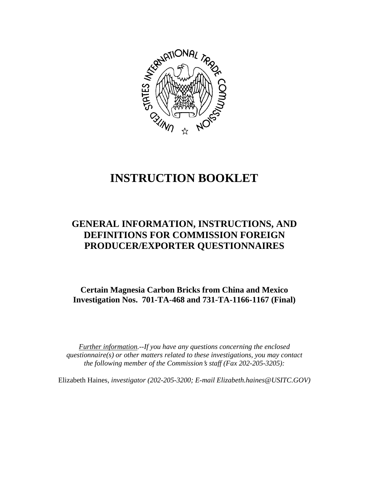

# **INSTRUCTION BOOKLET**

# **GENERAL INFORMATION, INSTRUCTIONS, AND DEFINITIONS FOR COMMISSION FOREIGN PRODUCER/EXPORTER QUESTIONNAIRES**

**Certain Magnesia Carbon Bricks from China and Mexico Investigation Nos. 701-TA-468 and 731-TA-1166-1167 (Final)**

*Further information.--If you have any questions concerning the enclosed questionnaire(s) or other matters related to these investigations, you may contact the following member of the Commission*=*s staff (Fax 202-205-3205):* 

Elizabeth Haines*, investigator (202-205-3200; E-mail Elizabeth.haines@USITC.GOV)*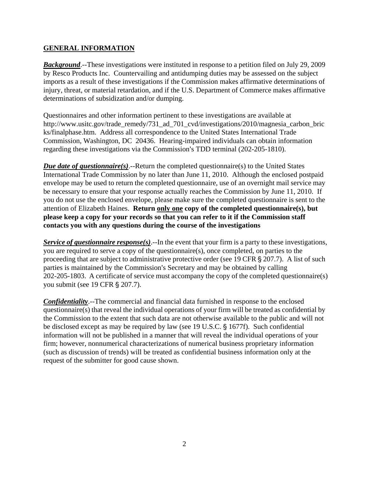# **GENERAL INFORMATION**

*Background*.--These investigations were instituted in response to a petition filed on July 29, 2009 by Resco Products Inc. Countervailing and antidumping duties may be assessed on the subject imports as a result of these investigations if the Commission makes affirmative determinations of injury, threat, or material retardation, and if the U.S. Department of Commerce makes affirmative determinations of subsidization and/or dumping.

Questionnaires and other information pertinent to these investigations are available at http://www.usitc.gov/trade\_remedy/731\_ad\_701\_cvd/investigations/2010/magnesia\_carbon\_bric ks/finalphase.htm. Address all correspondence to the United States International Trade Commission, Washington, DC 20436. Hearing-impaired individuals can obtain information regarding these investigations via the Commission's TDD terminal (202-205-1810).

*Due date of questionnaire(s)*.--Return the completed questionnaire(s) to the United States International Trade Commission by no later than June 11, 2010. Although the enclosed postpaid envelope may be used to return the completed questionnaire, use of an overnight mail service may be necessary to ensure that your response actually reaches the Commission by June 11, 2010. If you do not use the enclosed envelope, please make sure the completed questionnaire is sent to the attention of Elizabeth Haines. **Return only one copy of the completed questionnaire(s), but please keep a copy for your records so that you can refer to it if the Commission staff contacts you with any questions during the course of the investigations**

*Service of questionnaire response(s)*.--In the event that your firm is a party to these investigations, you are required to serve a copy of the questionnaire(s), once completed, on parties to the proceeding that are subject to administrative protective order (see 19 CFR  $\S 207.7$ ). A list of such parties is maintained by the Commission's Secretary and may be obtained by calling 202-205-1803. A certificate of service must accompany the copy of the completed questionnaire(s) you submit (see 19 CFR § 207.7).

*Confidentiality*.--The commercial and financial data furnished in response to the enclosed questionnaire(s) that reveal the individual operations of your firm will be treated as confidential by the Commission to the extent that such data are not otherwise available to the public and will not be disclosed except as may be required by law (see 19 U.S.C. § 1677f). Such confidential information will not be published in a manner that will reveal the individual operations of your firm; however, nonnumerical characterizations of numerical business proprietary information (such as discussion of trends) will be treated as confidential business information only at the request of the submitter for good cause shown.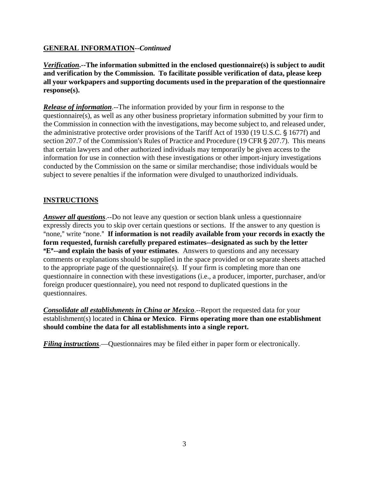# **GENERAL INFORMATION--***Continued*

*Verification***.--The information submitted in the enclosed questionnaire(s) is subject to audit and verification by the Commission. To facilitate possible verification of data, please keep all your workpapers and supporting documents used in the preparation of the questionnaire response(s).**

*Release of information*.--The information provided by your firm in response to the questionnaire(s), as well as any other business proprietary information submitted by your firm to the Commission in connection with the investigations, may become subject to, and released under, the administrative protective order provisions of the Tariff Act of 1930 (19 U.S.C. § 1677f) and section 207.7 of the Commission's Rules of Practice and Procedure (19 CFR § 207.7). This means that certain lawyers and other authorized individuals may temporarily be given access to the information for use in connection with these investigations or other import-injury investigations conducted by the Commission on the same or similar merchandise; those individuals would be subject to severe penalties if the information were divulged to unauthorized individuals.

# **INSTRUCTIONS**

*Answer all questions*.--Do not leave any question or section blank unless a questionnaire expressly directs you to skip over certain questions or sections. If the answer to any question is "none," write "none." If information is not readily available from your records in exactly the **form requested, furnish carefully prepared estimates--designated as such by the letter E<sup>"</sup>--and explain the basis of your estimates**. Answers to questions and any necessary comments or explanations should be supplied in the space provided or on separate sheets attached to the appropriate page of the questionnaire(s). If your firm is completing more than one questionnaire in connection with these investigations (i.e., a producer, importer, purchaser, and/or foreign producer questionnaire), you need not respond to duplicated questions in the questionnaires.

*Consolidate all establishments in China or Mexico*.--Report the requested data for your establishment(s) located in **China or Mexico**. **Firms operating more than one establishment should combine the data for all establishments into a single report.** 

*Filing instructions*.—Questionnaires may be filed either in paper form or electronically.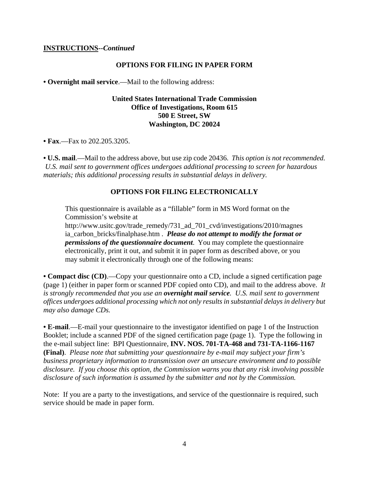#### **INSTRUCTIONS--***Continued*

#### **OPTIONS FOR FILING IN PAPER FORM**

**• Overnight mail service**.—Mail to the following address:

### **United States International Trade Commission Office of Investigations, Room 615 500 E Street, SW Washington, DC 20024**

**• Fax**.—Fax to 202.205.3205.

**• U.S. mail**.—Mail to the address above, but use zip code 20436. *This option is not recommended. U.S. mail sent to government offices undergoes additional processing to screen for hazardous materials; this additional processing results in substantial delays in delivery.* 

#### **OPTIONS FOR FILING ELECTRONICALLY**

This questionnaire is available as a "fillable" form in MS Word format on the Commission's website at

http://www.usitc.gov/trade\_remedy/731\_ad\_701\_cvd/investigations/2010/magnes ia\_carbon\_bricks/finalphase.htm . *Please do not attempt to modify the format or permissions of the questionnaire document*. You may complete the questionnaire electronically, print it out, and submit it in paper form as described above, or you may submit it electronically through one of the following means:

**• Compact disc (CD)**.—Copy your questionnaire onto a CD, include a signed certification page (page 1) (either in paper form or scanned PDF copied onto CD), and mail to the address above. *It is strongly recommended that you use an overnight mail service. U.S. mail sent to government offices undergoes additional processing which not only results in substantial delays in delivery but may also damage CDs.* 

**• E-mail**.—E-mail your questionnaire to the investigator identified on page 1 of the Instruction Booklet; include a scanned PDF of the signed certification page (page 1). Type the following in the e-mail subject line: BPI Questionnaire, **INV. NOS. 701-TA-468 and 731-TA-1166-1167 (Final)**. *Please note that submitting your questionnaire by e-mail may subject your firm's business proprietary information to transmission over an unsecure environment and to possible disclosure. If you choose this option, the Commission warns you that any risk involving possible disclosure of such information is assumed by the submitter and not by the Commission.* 

Note: If you are a party to the investigations, and service of the questionnaire is required, such service should be made in paper form.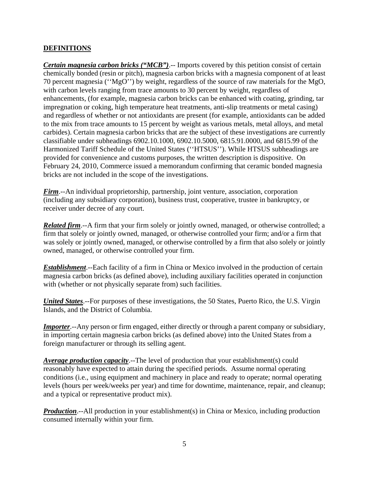# **DEFINITIONS**

*Certain magnesia carbon bricks ("MCB")*.-- Imports covered by this petition consist of certain chemically bonded (resin or pitch), magnesia carbon bricks with a magnesia component of at least 70 percent magnesia (''MgO'') by weight, regardless of the source of raw materials for the MgO, with carbon levels ranging from trace amounts to 30 percent by weight, regardless of enhancements, (for example, magnesia carbon bricks can be enhanced with coating, grinding, tar impregnation or coking, high temperature heat treatments, anti-slip treatments or metal casing) and regardless of whether or not antioxidants are present (for example, antioxidants can be added to the mix from trace amounts to 15 percent by weight as various metals, metal alloys, and metal carbides). Certain magnesia carbon bricks that are the subject of these investigations are currently classifiable under subheadings 6902.10.1000, 6902.10.5000, 6815.91.0000, and 6815.99 of the Harmonized Tariff Schedule of the United States (''HTSUS''). While HTSUS subheadings are provided for convenience and customs purposes, the written description is dispositive. On February 24, 2010, Commerce issued a memorandum confirming that ceramic bonded magnesia bricks are not included in the scope of the investigations.

*Firm*.--An individual proprietorship, partnership, joint venture, association, corporation (including any subsidiary corporation), business trust, cooperative, trustee in bankruptcy, or receiver under decree of any court.

*Related firm*.--A firm that your firm solely or jointly owned, managed, or otherwise controlled; a firm that solely or jointly owned, managed, or otherwise controlled your firm; and/or a firm that was solely or jointly owned, managed, or otherwise controlled by a firm that also solely or jointly owned, managed, or otherwise controlled your firm.

*Establishment*.--Each facility of a firm in China or Mexico involved in the production of certain magnesia carbon bricks (as defined above), including auxiliary facilities operated in conjunction with (whether or not physically separate from) such facilities.

*United States*.--For purposes of these investigations, the 50 States, Puerto Rico, the U.S. Virgin Islands, and the District of Columbia.

*Importer*.--Any person or firm engaged, either directly or through a parent company or subsidiary, in importing certain magnesia carbon bricks (as defined above) into the United States from a foreign manufacturer or through its selling agent.

*Average production capacity*.--The level of production that your establishment(s) could reasonably have expected to attain during the specified periods. Assume normal operating conditions (i.e., using equipment and machinery in place and ready to operate; normal operating levels (hours per week/weeks per year) and time for downtime, maintenance, repair, and cleanup; and a typical or representative product mix).

**Production**.--All production in your establishment(s) in China or Mexico, including production consumed internally within your firm.